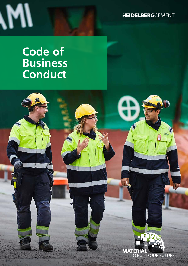**HEIDELBERG**CEMENT

# **Code of Business Conduct**

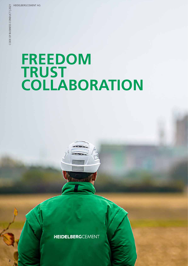2

# **FREEDOM TRUST COLLABORATION**

**HEIDELBERG**CEMENT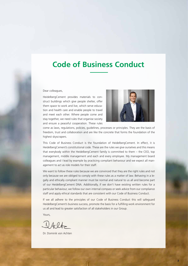## **Code of Business Conduct**

Dear colleagues,

HeidelbergCement provides materials to construct buildings which give people shelter, offer them space to work and live, which serve education and health care and enable people to travel and meet each other. Where people come and stay together, we need rules that organise society and ensure a peaceful cooperation. These rules



come as laws, regulations, policies, guidelines, processes or principles. They are the basis of freedom, trust and collaboration and are like the concrete that forms the foundation of the highest skyscrapers.

This Code of Business Conduct is the foundation of HeidelbergCement. In effect, it is HeidelbergCement's constitutional code. These are the rules we give ourselves and this means that everybody within the HeidelbergCement family is committed to them – the CEO, top management, middle management and each and every employee. My management board colleagues and I lead by example by practicing compliant behaviour and we expect all management to act as role models for their staff.

We want to follow these rules because we are convinced that they are the right rules and not only because we are obliged to comply with these rules as a matter of law. Behaving in a legally and ethically compliant manner must be normal and natural to us all and become part of our HeidelbergCement DNA. Additionally, if we don't have existing written rules for a particular behaviour, we follow our own internal compass or seek advice from our compliance staff and apply ethical standards that are consistent with our Code of Business Conduct.

If we all adhere to the principles of our Code of Business Conduct this will safeguard HeidelbergCement's business success, promote the basis for a fulfilling work environment for us all and lead to greater satisfaction of all stakeholders in our Group.

Yours,

Dr. Dominik von Achten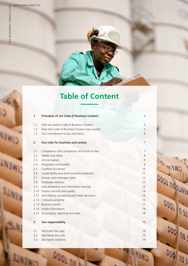**CIME** 

 $u_{\overline{\text{I}\text{H}}_1}$ 

SUVEN

4

SUNTH

Dag<sub>1</sub>

# **Table of Content**

| 1              | <b>Principles of our Code of Business Conduct</b> | 5  |
|----------------|---------------------------------------------------|----|
| 1.1            | Why we need a Code of Business Conduct            | 5  |
| 1.2            | How this Code of Business Conduct was created     | 5  |
| 1.3            | Our commitment to law and ethics                  | 6  |
| $\overline{2}$ | Our rules for business and society                | 7  |
| 2.1            | Compliance with competition and antitrust law     | 7  |
| 2.2            | Health and safety                                 | 8  |
| 2.3            | Anticorruption                                    | 9  |
| 2.4            | Hospitality and benefits                          | 9  |
| 2.5            | Conflicts of interest                             | 10 |
| 2.6            | Sustainability and environmental protection       | 11 |
| 2.7            | Human and employee rights                         | 12 |
| 2.8            | Employee relations                                | 13 |
| 2.9            | Data protection and information security          | 13 |
| 2.10           | Product security and quality                      | 14 |
| 2.11           | Anti-Money Laundering and Trade Sanctions         | 15 |
| 2.12           | Company property                                  | 16 |
| 2.13           | <b>Business secrets</b>                           | 17 |
| 2.14           | Insider information                               | 18 |
| 2.15           | Accounting, reporting and taxes                   | 18 |
| 3              | Our responsibility                                | 19 |
| 3.1            | We know the rules                                 | 19 |
| 3.2            | We follow the rules                               | 19 |
| 3.3            | We report violations                              | 19 |

090 105

**ANSWID**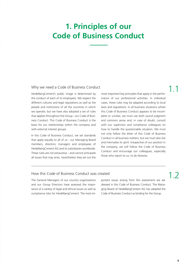# **1. Principles of our Code of Business Conduct**

#### Why we need a Code of Business Conduct

HeidelbergCement's public image is determined by the conduct of each of its employees. We respect the different cultures and legal regulations as well as the people and institutions of all the countries in which we operate, but we have also adopted a set of rules that applies throughout the Group - our Code of Business Conduct. This Code of Business Conduct is the basis for our relationships within the company and with external interest groups.

In this Code of Business Conduct, we set standards that apply equally to all of us - our Managing Board members, directors, managers and employees of HeidelbergCement AG and its subsidiaries worldwide. These rules are not exhaustive – and cannot anticipate all issues that may arise, nevertheless they set out the most important key principles that apply in the performance of our professional activities. In individual cases, these rules may be adapted according to local laws and regulations. In all business situations where this Code of Business Conduct appears to be incomplete or unclear, we must use both sound judgment and common sense and, in case of doubt, consult with our supervisor and compliance colleagues on how to handle the questionable situation. We must not only follow the letter of this Code of Business Conduct in all business matters, but we must also live and internalise its spirit. Irrespective of our position in the company, we will follow the Code of Business Conduct and encourage our colleagues, especially those who report to us, to do likewise.

#### How this Code of Business Conduct was created

The General Managers of our country organisations and our Group Directors have assessed the importance of a variety of legal and ethical issues as well as compliance risks for HeidelbergCement. The most important issues arising from this assessment are addressed in this Code of Business Conduct. The Managing Board of HeidelbergCement AG has adopted the Code of Business Conduct as binding for the Group.

1.2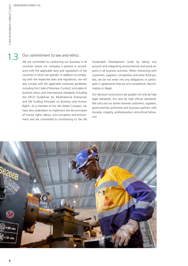$1.3$ 

#### Our commitment to law and ethics

We are committed to conducting our business in all countries where our company is present in accordance with the applicable laws and regulations of the countries in which we operate. In addition to complying with the respective laws and regulations, we will also comply with the applicable corporate guidelines including this Code of Business Conduct, principles of business ethics and international standards including the OECD Guidelines for Multinational Enterprises and UN Guiding Principles on Business and Human Rights. As a member of the UN Global Compact, we have also undertaken to implement the ten principles of human rights, labour, anti-corruption and environment and are committed to contributing to the UN Sustainable Development Goals by taking into account and integrating environmental and social aspects in all business activities. When interacting with customers, suppliers, competitors and other third parties, we do not enter into any obligations or participate in agreements that are anti-competitive, discriminatory or illegal.

Our decisions and actions are guided not only by high legal standards, but also by high ethical standards. We carry out our duties towards customers, suppliers, governmental authorities and business partners with honesty, integrity, professionalism and ethical behaviour.

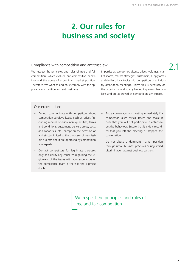# **2. Our rules for business and society**

#### Compliance with competition and antitrust law

We respect the principles and rules of free and fair competition, which exclude anti-competitive behaviour and the abuse of a dominant market position. Therefore, we want to and must comply with the applicable competition and antitrust laws.

In particular, we do not discuss prices, volumes, market shares, market strategies, customers, supply areas and similar critical topics with competitors or at industry association meetings, unless this is necessary on the occasion of and strictly limited to permissible projects and pre-approved by competition law experts.

# 2.1

#### Our expectations

- Do not communicate with competitors about competition-sensitive issues such as prices (including rebates or discounts), quantities, terms and conditions, customers, delivery areas, costs and capacities, etc., except on the occasion of and strictly limited to the purposes of permissible projects and if pre-approved by competition law experts.
- Contact competitors for legitimate purposes only and clarify any concerns regarding the legitimacy of the issues with your supervisors or the compliance team if there is the slightest doubt.
- End a conversation or meeting immediately if a competitor raises critical issues and make it clear that you will not participate in anti-competitive behaviour. Ensure that it is duly recorded that you left the meeting or stopped the conversation.
- Do not abuse a dominant market position through unfair business practices or unjustified discrimination against business partners.

We respect the principles and rules of free and fair competition.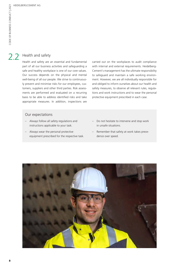## 2.2 Health and safety

Health and safety are an essential and fundamental part of all our business activities and safeguarding a safe and healthy workplace is one of our core values. Our success depends on the physical and mental well-being of all our people. We strive to continuously prevent and minimise risks for our employees, customers, suppliers and other third parties. Risk assessments are performed and evaluated on a recurring basis to be able to address identified risks and take appropriate measures. In addition, inspections are carried out on the workplaces to audit compliance with internal and external requirements. Heidelberg-Cement's management has the ultimate responsibility to safeguard and maintain a safe working environment. However, we are all individually responsible for and obliged to inform ourselves about our health and safety measures, to observe all relevant rules, regulations and work instructions and to wear the personal protective equipment prescribed in each case.

- Always follow all safety regulations and instructions applicable to your task.
- Always wear the personal protective equipment prescribed for the respective task.
- Do not hesitate to intervene and stop work in unsafe situations.
- Remember that safety at work takes precedence over speed.

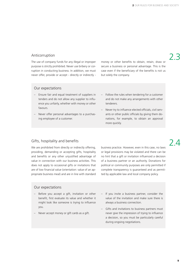2.3

#### Anticorruption

The use of company funds for any illegal or improper purpose is strictly prohibited. Never use bribery or corruption in conducting business. In addition, we must never offer, provide or accept - directly or indirectly -

money or other benefits to obtain, retain, draw or secure a business or personal advantage. This is the case even if the beneficiary of the benefits is not us but solely the company.

#### Our expectations

- Ensure fair and equal treatment of suppliers in tenders and do not allow any supplier to influence you unfairly, whether with money or other favours.
- Never offer personal advantages to a purchasing employee of a customer.
- Follow the rules when tendering for a customer and do not make any arrangements with other tenderers.
- Never try to influence elected officials, civil servants or other public officials by giving them donations, for example, to obtain an approval more quickly.

### Gifts, hospitality and benefits  $\overline{2}$

We are prohibited from directly or indirectly offering, providing, demanding or accepting gifts, hospitality and benefits or any other unjustified advantage of value in connection with our business activities. This does not apply to occasional gifts or invitations that are of low financial value (orientation: value of an appropriate business meal) and are in line with standard

business practice. However, even in this case, no laws or legal provisions may be violated and there can be no hint that a gift or invitation influenced a decision of a business partner or an authority. Donations for political or community purposes are only permitted if complete transparency is guaranteed and as permitted by applicable law and local company policy.

#### Our expectations

- Before you accept a gift, invitation or other benefit, first evaluate its value and whether it might look like someone is trying to influence you.
- Never accept money or gift cards as a gift.

If you invite a business partner, consider the value of the invitation and make sure there is always a business connection.

Gifts and invitations to business partners must never give the impression of trying to influence a decision, so you must be particularly careful during ongoing negotiations.

9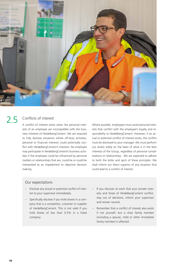

## 2.5 Conflicts of interest

A conflict of interest exists when the personal interests of an employee are incompatible with the business interests of HeidelbergCement. We are required to fully disclose situations where off-duty activities, personal or financial interests could potentially conflict with HeidelbergCement's interests. No employee may participate in HeidelbergCement's business activities if the employee could be influenced by personal matters or relationships that are, could be or could be interpreted as an impediment to objective decision making.

Where possible, employees must avoid personal interests that conflict with the employee's loyalty and responsibility to HeidelbergCement. However, if an actual or potential conflict of interest exists, the conflict must be disclosed to your manager. We must perform our duties solely on the basis of what is in the best interests of the Group, regardless of personal considerations or relationships. We are expected to adhere to both the letter and spirit of these principles. We shall inform our direct superior of any situation that could lead to a conflict of interest.

- Disclose any actual or potential conflict of interest to your supervisor immediately.
- Specifically disclose if you hold shares in a company that is a competitor, customer or supplier of HeidelbergCement. This is not valid if you hold shares of less than 0.5% in a listed company.
- If you discover at work that your private interests and those of HeidelbergCement conflict, stay out of decisions, inform your supervisor and remain neutral.
- Remember that a conflict of interest also exists if not yourself, but a close family member (including a spouse, child or other immediate family member) is affected.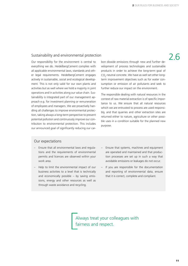## Sustainability and environmental protection  $\overline{2.6}$

Our responsibility for the environment is central to everything we do. HeidelbergCement complies with all applicable environmental laws, standards and other legal requirements. HeidelbergCement engages actively in sustainable, social and ecological development. This is not only valid for our own plants and activities but as well where we hold a majority in joint operations and in activities along our value chain. Sustainability is integrated part of our management approach e.g. for investment planning or remuneration of employees and managers. We are proactively handling all challenges to improve environmental protection, taking always a long-term perspective to prevent potential pollution and continuously improve our contribution to environmental protection. This includes our announced goal of significantly reducing our carbon dioxide emissions through new and further development of process technologies and sustainable products in order to achieve the long-term goal of  $CO_2$ -neutral concrete. We have as well set other longterm improvement objectives such as for water consumption or emission of air pollutants and seek to further reduce our impact on the environment.

The responsible dealing with natural resources in the context of raw material extraction is of specific importance to us. We ensure that all natural resources which we are entrusted to process are used responsibly, and that quarries and other extraction sites are returned either to nature, agriculture or other possible uses in a condition suitable for the planned new purpose.

#### Our expectations

- Ensure that all environmental laws and regulations and the requirements of environmental permits and licences are observed within your work area.
- Help to limit the environmental impact of our business activities to a level that is technically and economically possible – by saving emissions, energy and other resources as well as through waste avoidance and recycling.
- Ensure that systems, machines and equipment are operated and maintained and that production processes are set up in such a way that avoidable emissions or leakages do not occur.
- If you are responsible for the documentation and reporting of environmental data, ensure that it is correct, complete and compliant.

Always treat your colleagues with fairness and respect.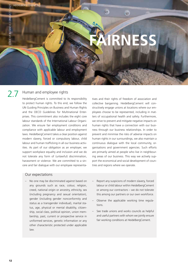

#### Human and employee rights

2.7

HeidelbergCement is committed to its responsibility to protect human rights. To this end, we follow the UN Guiding Principles on Business and Human Rights and the OECD Guidelines for Multinational Enterprises. This commitment also includes the eight core labour standards of the International Labour Organization. We ensure fair employment conditions and compliance with applicable labour and employment laws. HeidelbergCement takes a clear position against modern slavery, forced or compulsory labour, child labour and human trafficking in all our business activities. As part of our obligation as an employer, we support workplace equality and inclusion and we do not tolerate any form of (unlawful) discrimination, harassment or violence. We are committed to a sincere and fair dialogue with our employee representatives and their rights of freedom of association and collective bargaining. HeidelbergCement will constructively engage unions at locations where our employees choose to be represented, including in matters of occupational health and safety. Furthermore, we strive to prevent and mitigate negative impacts on human rights that have a connection with our business through our business relationships. In order to prevent and minimise the risks of adverse impacts on human rights in our surroundings, we also maintain a continuous dialogue with the local community, organisations and government agencies. Such efforts are primarily aimed at people who live in neighbouring areas of our business. This way we actively support the economical and social development of countries and regions where we operate.

- No one may be discriminated against based on any grounds such as race, colour, religion, creed, national origin or ancestry, ethnicity, sex (including pregnancy and sexual orientation), gender (including gender nonconformity and status as a transgender individual), marital status, age, physical or mental disability, citizenship, social class, political opinion, union membership, past, current or prospective service in uniformed services, genetic information or any other characteristic protected under applicable law.
- Report any suspicions of modern slavery, forced labour or child labour within HeidelbergCement or among our contractors – we do not tolerate this among our partners or our own workforce.
- Observe the applicable working time regulations.
- See trade unions and works councils as helpful and useful partners with whom we jointly ensure fair working conditions at HeidelbergCement.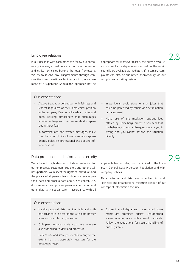# Employee relations<br>and a line with each other we follow our cerno contractive for whatever resears the human resource

In our dealings with each other, we follow our corporate guidelines, as well as social norms of behaviour and ethical principles beyond the legal framework. We try to resolve any disagreements through constructive dialogue with each other or with the involvement of a supervisor. Should this approach not be

appropriate for whatever reason, the human resources or compliance departments as well as the works councils are available as mediators. If necessary, complaints can also be submitted anonymously via our compliance reporting system.

#### Our expectations

- Always treat your colleagues with fairness and respect regardless of their hierarchical position in the company. Keep on all levels a trustful and open working atmosphere that encourages affected colleagues to communicate discrepancies without fear.
- In conversations and written messages, make sure that your choice of words remains appropriately objective, professional and does not offend or insult.
- In particular, avoid statements or jokes that could be perceived by others as discrimination or harassment.
- Make use of the mediation opportunities offered by HeidelbergCement if you feel that the behaviour of your colleagues towards you is wrong and you cannot resolve the situation directly.

#### Data protection and information security **Example 2** and  $\overline{2}$  Q

We adhere to high standards of data protection for our employees, customers, suppliers and other business partners. We respect the rights of individuals and the privacy of all persons from whom we receive personal data and process data about. We collect, use, disclose, retain and process personal information and other data with special care in accordance with all

applicable law including but not limited to the European General Data Protection Regulation and with company policies.

Data protection and data security go hand in hand. Technical and organisational measures are part of our concept of information security.

- Handle personal data confidentially and with particular care in accordance with data privacy laws and our internal guidelines.
- Only pass on personal data to those who are also authorised to view and process it.
- Collect, use and store personal data only to the extent that it is absolutely necessary for the defined purpose.
- Ensure that all digital and paper-based documents are protected against unauthorised access in accordance with current standards. Follow the regulations for secure handling of our IT systems.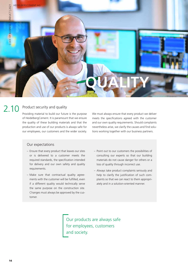

#### Product security and quality 2.10

Providing material to build our future is the purpose of HeidelbergCement. It is paramount that we ensure the quality of these building materials and that the production and use of our products is always safe for our employees, our customers and the wider society. We must always ensure that every product we deliver meets the specifications agreed with the customer and our own quality requirements. Should complaints nevertheless arise, we clarify the causes and find solutions working together with our business partners.

#### Our expectations

- Ensure that every product that leaves our sites or is delivered to a customer meets the required standards, the specification intended for delivery and our own safety and quality requirements.
- Make sure that contractual quality agreements with the customer will be fulfilled, even if a different quality would technically serve the same purpose on the construction site. Changes must always be approved by the customer.
- Point out to our customers the possibilities of consulting our experts so that our building materials do not cause danger for others or a loss of quality through incorrect use.
- Always take product complaints seriously and help to clarify the justification of such complaints so that we can react to them appropriately and in a solution-oriented manner.

Our products are always safe for employees, customers and society.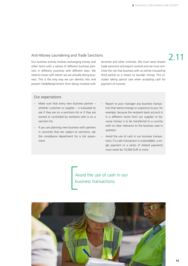2.11

#### Anti-Money Laundering and Trade Sanctions

Our business activity involves exchanging money and other items with a variety of different business partners in different countries with different laws. We need to know with whom we are actually doing business. This is the only way we can identify risks and prevent HeidelbergCement from being involved with

terrorists and other criminals. We must never breach trade sanctions and export controls and we must minimise the risk that business with us will be misused by third parties as a means to launder money. This includes taking special care when accepting cash for payment of invoices.

#### Our expectations

- Make sure that every new business partner whether customer or supplier – is evaluated to see if they are on a sanctions list or if they are owned or controlled by someone who is on a sanction list.
- If you are planning new business with partners in countries that are subject to sanctions, ask the compliance department for a risk assessment.
- Report to your manager any business transaction that seems strange or suspicious to you, for example, because the recipient bank account is in a different name from our supplier or because money is to be transferred to a country with no clear relevance to the business case in question.
- Avoid the use of cash in our business transactions. If a cash transaction is unavoidable, a single payment or a series of related payments must never be 10,000 EUR or more.

Avoid the use of cash in our business transactions.

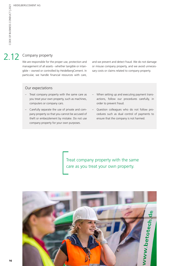#### Company property 2.12

We are responsible for the proper use, protection and management of all assets - whether tangible or intangible – owned or controlled by HeidelbergCement. In particular, we handle financial resources with care,

and we prevent and detect fraud. We do not damage or misuse company property, and we avoid unnecessary costs or claims related to company property.

#### Our expectations

- Treat company property with the same care as you treat your own property, such as machines, computers or company cars.
- Carefully separate the use of private and company property so that you cannot be accused of theft or embezzlement by mistake. Do not use company property for your own purposes.
- When setting up and executing payment transactions, follow our procedures carefully, in order to prevent fraud.
- Question colleagues who do not follow procedures such as dual control of payments to ensure that the company is not harmed.

Treat company property with the same care as you treat your own property.

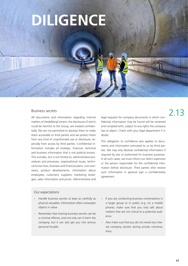# **DILIGENCE**

#### Business secrets

All documents and information regarding internal matters of HeidelbergCement, the disclosure of which could be harmful to the Group, are treated confidentially. We are not permitted to disclose them or make them accessible to third parties and we protect them from any kind of unauthorised use or disclosure, especially from access by third parties. Confidential information includes all strategic, financial, technical and business information that is not publicly known. This includes, but is not limited to, administrative procedures and processes, organisational issues, technical know-how, business and financial plans, cost overviews, product developments, information about employees, customers, suppliers, marketing strategies, sales information and prices. Administrative and

legal requests for company documents in which confidential information may be found will be reviewed and complied with, subject to any rights the company has to object. Check with your legal department if in doubt.

This obligation to confidence also applies to documents and information entrusted to us by third parties. We may only disclose confidential information if required by law or authorised for business purposes. In all such cases, we must inform our direct supervisor or the person responsible for the confidential information before disclosure. Third parties who receive such information in general sign a confidentiality agreement.

#### Our expectations

- Handle business secrets at least as carefully as physical valuables. Information often outweighs objects in value.
- Remember that sharing business secrets can be a criminal offense, and not only can it harm the company, but it can also get you into serious personal trouble.
- If you are conducting business conversations in a larger group or in public (e.g. on a mobile phone), make sure that you only talk about matters that are not critical to a potential audience.
- Also make sure that you do not reveal any internal company secrets during private conversations.

# 2.13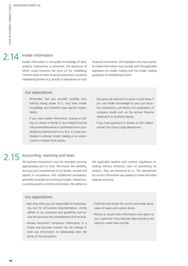## 2.14 Insider information

Insider information is non-public knowledge of data, projects, transactions or processes, the disclosure of which could influence the price of the Heidelberg Cement share or other financial instruments issued by HeidelbergCement (e.g. bonds) or derivatives on such financial instruments. All employees who have access to inside information must comply with the applicable legislation on insider trading and the insider trading guidelines of HeidelbergCement.

#### Our expectations

- Remember that you yourself, possibly even without being aware of it, may have insider knowledge and therefore bear special responsibility.
- If you have insider information, buying or selling our shares or bonds or any related financial instruments/derivatives is prohibited and is punishable by imprisonment or a fine. It is also punishable to attempt insider trading or to recommend or mislead third parties.
- Pay particular attention to what it could mean if you use insider knowledge to carry out securities transactions just before the publication of company results such as the annual financial statements or quarterly figures.
- If you have questions or doubts on this subject, contact the Group Legal department.

### 2.15 Accounting, reporting and taxes

All business transactions must be recorded correctly, appropriately and on time. We ensure the reliability, accuracy and completeness of our books, records and reports in accordance with established procedures, generally accepted accounting principles, relevant accounting systems, controls and reviews. We adhere to the applicable taxation and customs regulations including without limitation, laws on preventing tax evasion, they are elemental to us. The requirement for correct information also applies to travel and other expense accounts.

- Not only when you are responsible for bookkeeping, but for all business documentation, strictly adhere to our processes and guidelines and ensure the accuracy and completeness of all records.
- Always document transaction information in a timely and accurate manner; do not change or omit any information to deliberately alter the sense of the transaction.
- Fulfil the local duties for correct and timely declaration of taxes and custom duties.
- Refuse to record false information and report to your supervisor if you discover false records or are asked to create false records.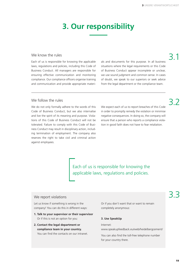## **3. Our responsibility**

#### We know the rules

Each of us is responsible for knowing the applicable laws, regulations and policies, including this Code of Business Conduct. All managers are responsible for ensuring effective communication and monitoring compliance. Our compliance officers organise training and communication and provide appropriate materials and documents for this purpose. In all business situations where the legal requirements or this Code of Business Conduct appear incomplete or unclear, we use sound judgment and common sense. In cases of doubt, we speak to our superiors or seek advice from the legal department or the compliance team.

# 3.1

3.2

#### We follow the rules

We do not only formally adhere to the words of this Code of Business Conduct, but we also internalise and live the spirit of its meaning and purpose. Violations of this Code of Business Conduct will not be tolerated. Failure to comply with this Code of Business Conduct may result in disciplinary action, including termination of employment. The company also reserves the right to take civil and criminal action against employees.

We expect each of us to report breaches of this Code in order to promptly remedy the violation or minimise negative consequences. In doing so, the company will ensure that a person who reports a compliance violation in good faith does not have to fear retaliation.

Each of us is responsible for knowing the applicable laws, regulations and policies.

#### We report violations

Let us know if something is wrong in the company! You can do this in different ways:

- **1. Talk to your supervisor or their supervisor** Or if this is not an option for you:
- **2. Contact the legal department or compliance team in your country.**  You can find the contacts on our intranet.

Or if you don't want that or want to remain completely anonymous:

#### **3. Use SpeakUp**

#### Internet:

www.speakupfeedback.eu/web/heidelbergcement/

You can also find the toll-free telephone number for your country there.

# 3.3